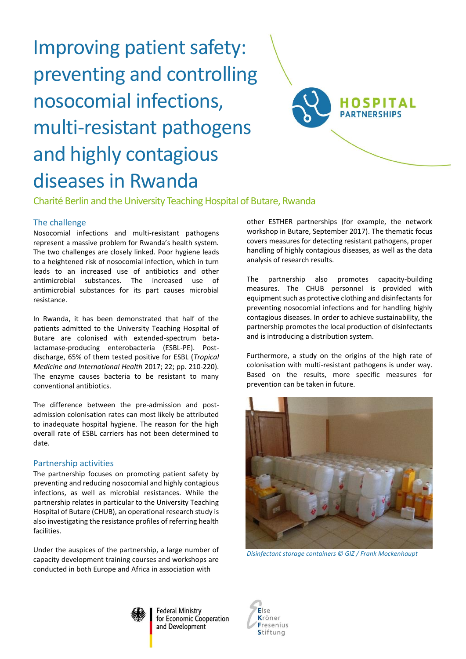# Improving patient safety: preventing and controlling nosocomial infections, multi-resistant pathogens and highly contagious diseases in Rwanda



Charité Berlin and the University Teaching Hospital of Butare, Rwanda

# The challenge

Nosocomial infections and multi-resistant pathogens represent a massive problem for Rwanda's health system. The two challenges are closely linked. Poor hygiene leads to a heightened risk of nosocomial infection, which in turn leads to an increased use of antibiotics and other antimicrobial substances. The increased use of antimicrobial substances for its part causes microbial resistance.

In Rwanda, it has been demonstrated that half of the patients admitted to the University Teaching Hospital of Butare are colonised with extended-spectrum betalactamase-producing enterobacteria (ESBL-PE). Postdischarge, 65% of them tested positive for ESBL (*Tropical Medicine and International Health* 2017; 22; pp. 210-220). The enzyme causes bacteria to be resistant to many conventional antibiotics.

The difference between the pre-admission and postadmission colonisation rates can most likely be attributed to inadequate hospital hygiene. The reason for the high overall rate of ESBL carriers has not been determined to date.

## Partnership activities

The partnership focuses on promoting patient safety by preventing and reducing nosocomial and highly contagious infections, as well as microbial resistances. While the partnership relates in particular to the University Teaching Hospital of Butare (CHUB), an operational research study is also investigating the resistance profiles of referring health facilities.

Under the auspices of the partnership, a large number of capacity development training courses and workshops are conducted in both Europe and Africa in association with

other ESTHER partnerships (for example, the network workshop in Butare, September 2017). The thematic focus covers measures for detecting resistant pathogens, proper handling of highly contagious diseases, as well as the data analysis of research results.

The partnership also promotes capacity-building measures. The CHUB personnel is provided with equipment such as protective clothing and disinfectants for preventing nosocomial infections and for handling highly contagious diseases. In order to achieve sustainability, the partnership promotes the local production of disinfectants and is introducing a distribution system.

Furthermore, a study on the origins of the high rate of colonisation with multi-resistant pathogens is under way. Based on the results, more specific measures for prevention can be taken in future.



*Disinfectant storage containers © GIZ / Frank Mockenhaupt*